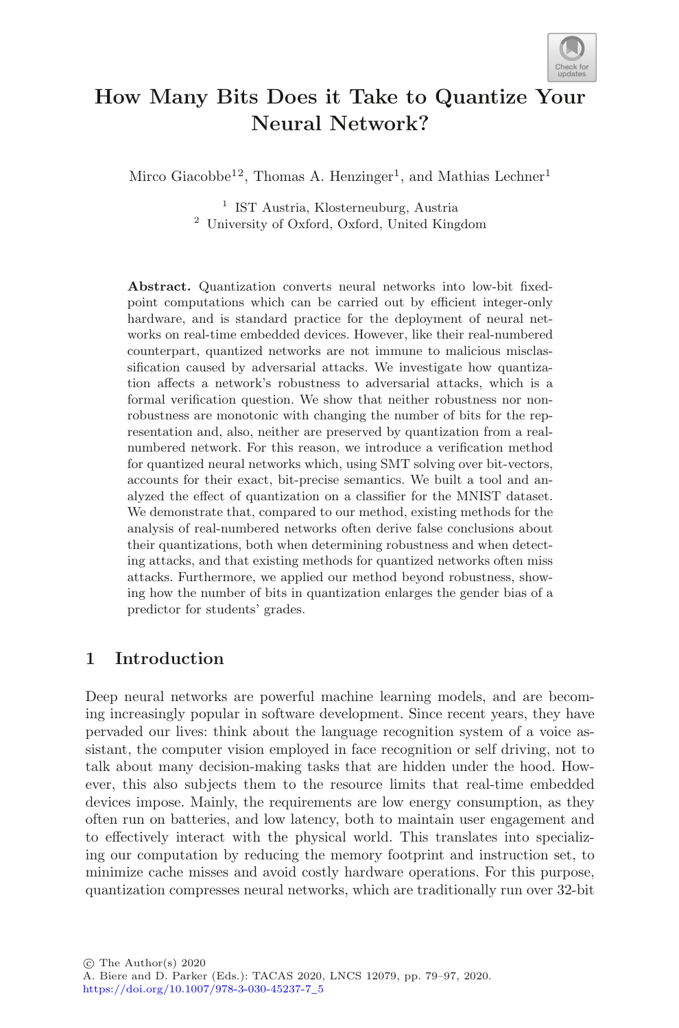

# **How Many Bits Does it Take to Quantize Your Neural Network?**

Mirco Giacobbe<sup>12</sup>, Thomas A. Henzinger<sup>1</sup>, and Mathias Lechner<sup>1</sup>

<sup>1</sup> IST Austria, Klosterneuburg, Austria <sup>2</sup> University of Oxford, Oxford, United Kingdom

**Abstract.** Quantization converts neural networks into low-bit fixedpoint computations which can be carried out by efficient integer-only hardware, and is standard practice for the deployment of neural networks on real-time embedded devices. However, like their real-numbered counterpart, quantized networks are not immune to malicious misclassification caused by adversarial attacks. We investigate how quantization affects a network's robustness to adversarial attacks, which is a formal verification question. We show that neither robustness nor nonrobustness are monotonic with changing the number of bits for the representation and, also, neither are preserved by quantization from a realnumbered network. For this reason, we introduce a verification method for quantized neural networks which, using SMT solving over bit-vectors, accounts for their exact, bit-precise semantics. We built a tool and analyzed the effect of quantization on a classifier for the MNIST dataset. We demonstrate that, compared to our method, existing methods for the analysis of real-numbered networks often derive false conclusions about their quantizations, both when determining robustness and when detecting attacks, and that existing methods for quantized networks often miss attacks. Furthermore, we applied our method beyond robustness, showing how the number of bits in quantization enlarges the gender bias of a predictor for students' grades.

# **1 Introduction**

Deep neural networks are powerful machine learning models, and are becoming increasingly popular in software development. Since recent years, they have pervaded our lives: think about the language recognition system of a voice assistant, the computer vision employed in face recognition or self driving, not to talk about many decision-making tasks that are hidden under the hood. However, this also subjects them to the resource limits that real-time embedded devices impose. Mainly, the requirements are low energy consumption, as they often run on batteries, and low latency, both to maintain user engagement and to effectively interact with the physical world. This translates into specializing our computation by reducing the memory footprint and instruction set, to minimize cache misses and avoid costly hardware operations. For this purpose, quantization compresses neural networks, which are traditionally run over 32-bit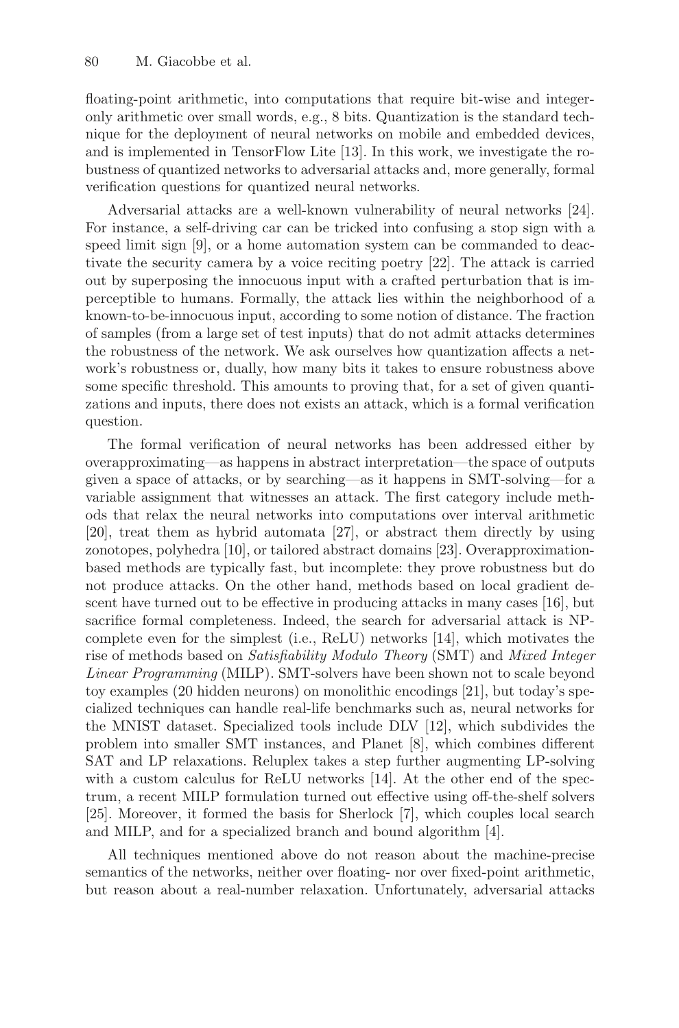floating-point arithmetic, into computations that require bit-wise and integeronly arithmetic over small words, e.g., 8 bits. Quantization is the standard technique for the deployment of neural networks on mobile and embedded devices, and is implemented in TensorFlow Lite [13]. In this work, we investigate the robustness of quantized networks to adversarial attacks and, more generally, formal verification questions for quantized neural networks.

Adversarial attacks are a well-known vulnerability of neural networks [24]. For instance, a self-driving car can be tricked into confusing a stop sign with a speed limit sign [9], or a home automation system can be commanded to deactivate the security camera by a voice reciting poetry [22]. The attack is carried out by superposing the innocuous input with a crafted perturbation that is imperceptible to humans. Formally, the attack lies within the neighborhood of a known-to-be-innocuous input, according to some notion of distance. The fraction of samples (from a large set of test inputs) that do not admit attacks determines the robustness of the network. We ask ourselves how quantization affects a network's robustness or, dually, how many bits it takes to ensure robustness above some specific threshold. This amounts to proving that, for a set of given quantizations and inputs, there does not exists an attack, which is a formal verification question.

The formal verification of neural networks has been addressed either by overapproximating—as happens in abstract interpretation—the space of outputs given a space of attacks, or by searching—as it happens in SMT-solving—for a variable assignment that witnesses an attack. The first category include methods that relax the neural networks into computations over interval arithmetic [20], treat them as hybrid automata [27], or abstract them directly by using zonotopes, polyhedra [10], or tailored abstract domains [23]. Overapproximationbased methods are typically fast, but incomplete: they prove robustness but do not produce attacks. On the other hand, methods based on local gradient descent have turned out to be effective in producing attacks in many cases [16], but sacrifice formal completeness. Indeed, the search for adversarial attack is NPcomplete even for the simplest (i.e., ReLU) networks [14], which motivates the rise of methods based on *Satisfiability Modulo Theory* (SMT) and *Mixed Integer Linear Programming* (MILP). SMT-solvers have been shown not to scale beyond toy examples (20 hidden neurons) on monolithic encodings [21], but today's specialized techniques can handle real-life benchmarks such as, neural networks for the MNIST dataset. Specialized tools include DLV [12], which subdivides the problem into smaller SMT instances, and Planet [8], which combines different SAT and LP relaxations. Reluplex takes a step further augmenting LP-solving with a custom calculus for ReLU networks [14]. At the other end of the spectrum, a recent MILP formulation turned out effective using off-the-shelf solvers [25]. Moreover, it formed the basis for Sherlock [7], which couples local search and MILP, and for a specialized branch and bound algorithm [4].

All techniques mentioned above do not reason about the machine-precise semantics of the networks, neither over floating- nor over fixed-point arithmetic, but reason about a real-number relaxation. Unfortunately, adversarial attacks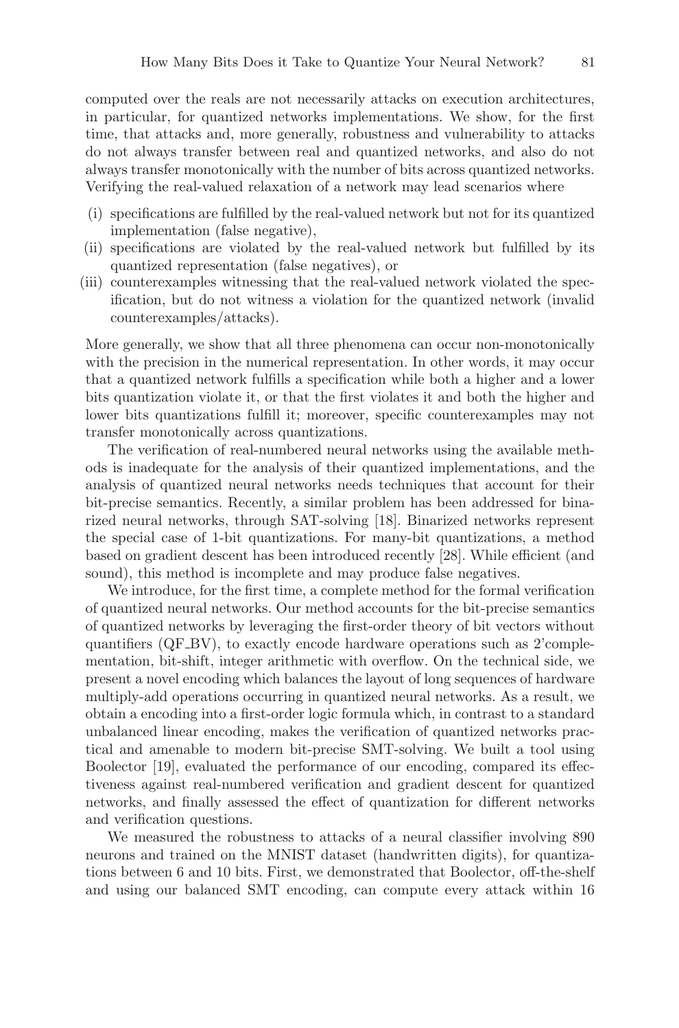computed over the reals are not necessarily attacks on execution architectures, in particular, for quantized networks implementations. We show, for the first time, that attacks and, more generally, robustness and vulnerability to attacks do not always transfer between real and quantized networks, and also do not always transfer monotonically with the number of bits across quantized networks. Verifying the real-valued relaxation of a network may lead scenarios where

- (i) specifications are fulfilled by the real-valued network but not for its quantized implementation (false negative),
- (ii) specifications are violated by the real-valued network but fulfilled by its quantized representation (false negatives), or
- (iii) counterexamples witnessing that the real-valued network violated the specification, but do not witness a violation for the quantized network (invalid counterexamples/attacks).

More generally, we show that all three phenomena can occur non-monotonically with the precision in the numerical representation. In other words, it may occur that a quantized network fulfills a specification while both a higher and a lower bits quantization violate it, or that the first violates it and both the higher and lower bits quantizations fulfill it; moreover, specific counterexamples may not transfer monotonically across quantizations.

The verification of real-numbered neural networks using the available methods is inadequate for the analysis of their quantized implementations, and the analysis of quantized neural networks needs techniques that account for their bit-precise semantics. Recently, a similar problem has been addressed for binarized neural networks, through SAT-solving [18]. Binarized networks represent the special case of 1-bit quantizations. For many-bit quantizations, a method based on gradient descent has been introduced recently [28]. While efficient (and sound), this method is incomplete and may produce false negatives.

We introduce, for the first time, a complete method for the formal verification of quantized neural networks. Our method accounts for the bit-precise semantics of quantized networks by leveraging the first-order theory of bit vectors without quantifiers (QF BV), to exactly encode hardware operations such as 2'complementation, bit-shift, integer arithmetic with overflow. On the technical side, we present a novel encoding which balances the layout of long sequences of hardware multiply-add operations occurring in quantized neural networks. As a result, we obtain a encoding into a first-order logic formula which, in contrast to a standard unbalanced linear encoding, makes the verification of quantized networks practical and amenable to modern bit-precise SMT-solving. We built a tool using Boolector [19], evaluated the performance of our encoding, compared its effectiveness against real-numbered verification and gradient descent for quantized networks, and finally assessed the effect of quantization for different networks and verification questions.

We measured the robustness to attacks of a neural classifier involving 890 neurons and trained on the MNIST dataset (handwritten digits), for quantizations between 6 and 10 bits. First, we demonstrated that Boolector, off-the-shelf and using our balanced SMT encoding, can compute every attack within 16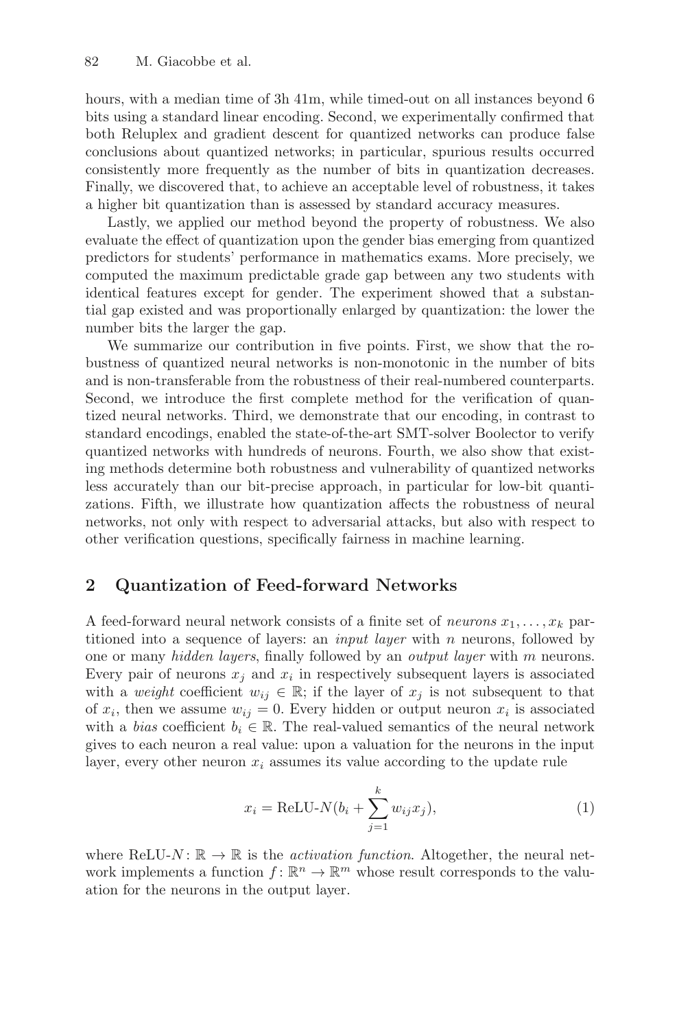hours, with a median time of 3h 41m, while timed-out on all instances beyond 6 bits using a standard linear encoding. Second, we experimentally confirmed that both Reluplex and gradient descent for quantized networks can produce false conclusions about quantized networks; in particular, spurious results occurred consistently more frequently as the number of bits in quantization decreases. Finally, we discovered that, to achieve an acceptable level of robustness, it takes a higher bit quantization than is assessed by standard accuracy measures.

Lastly, we applied our method beyond the property of robustness. We also evaluate the effect of quantization upon the gender bias emerging from quantized predictors for students' performance in mathematics exams. More precisely, we computed the maximum predictable grade gap between any two students with identical features except for gender. The experiment showed that a substantial gap existed and was proportionally enlarged by quantization: the lower the number bits the larger the gap.

We summarize our contribution in five points. First, we show that the robustness of quantized neural networks is non-monotonic in the number of bits and is non-transferable from the robustness of their real-numbered counterparts. Second, we introduce the first complete method for the verification of quantized neural networks. Third, we demonstrate that our encoding, in contrast to standard encodings, enabled the state-of-the-art SMT-solver Boolector to verify quantized networks with hundreds of neurons. Fourth, we also show that existing methods determine both robustness and vulnerability of quantized networks less accurately than our bit-precise approach, in particular for low-bit quantizations. Fifth, we illustrate how quantization affects the robustness of neural networks, not only with respect to adversarial attacks, but also with respect to other verification questions, specifically fairness in machine learning.

### **2 Quantization of Feed-forward Networks**

A feed-forward neural network consists of a finite set of *neurons*  $x_1, \ldots, x_k$  partitioned into a sequence of layers: an *input layer* with n neurons, followed by one or many *hidden layers*, finally followed by an *output layer* with m neurons. Every pair of neurons  $x_i$  and  $x_i$  in respectively subsequent layers is associated with a *weight* coefficient  $w_{ij} \in \mathbb{R}$ ; if the layer of  $x_j$  is not subsequent to that of  $x_i$ , then we assume  $w_{ij} = 0$ . Every hidden or output neuron  $x_i$  is associated with a *bias* coefficient  $b_i \in \mathbb{R}$ . The real-valued semantics of the neural network gives to each neuron a real value: upon a valuation for the neurons in the input layer, every other neuron  $x_i$  assumes its value according to the update rule

$$
x_i = \text{ReLU-}N(b_i + \sum_{j=1}^{k} w_{ij}x_j),
$$
\n(1)

where  $ReLU-N: \mathbb{R} \to \mathbb{R}$  is the *activation function*. Altogether, the neural network implements a function  $f: \mathbb{R}^n \to \mathbb{R}^m$  whose result corresponds to the valuation for the neurons in the output layer.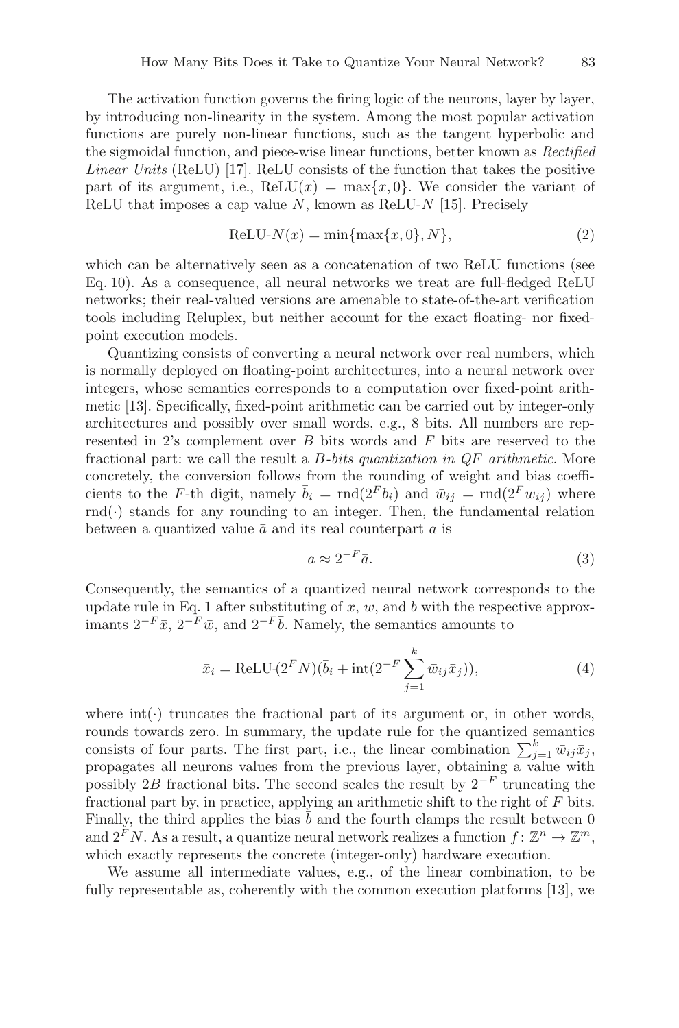The activation function governs the firing logic of the neurons, layer by layer, by introducing non-linearity in the system. Among the most popular activation functions are purely non-linear functions, such as the tangent hyperbolic and the sigmoidal function, and piece-wise linear functions, better known as *Rectified Linear Units* (ReLU) [17]. ReLU consists of the function that takes the positive part of its argument, i.e.,  $ReLU(x) = max\{x, 0\}$ . We consider the variant of ReLU that imposes a cap value  $N$ , known as ReLU- $N$  [15]. Precisely

$$
ReLU-N(x) = \min\{\max\{x, 0\}, N\},\tag{2}
$$

which can be alternatively seen as a concatenation of two ReLU functions (see Eq. 10). As a consequence, all neural networks we treat are full-fledged ReLU networks; their real-valued versions are amenable to state-of-the-art verification tools including Reluplex, but neither account for the exact floating- nor fixedpoint execution models.

Quantizing consists of converting a neural network over real numbers, which is normally deployed on floating-point architectures, into a neural network over integers, whose semantics corresponds to a computation over fixed-point arithmetic [13]. Specifically, fixed-point arithmetic can be carried out by integer-only architectures and possibly over small words, e.g., 8 bits. All numbers are represented in 2's complement over  $B$  bits words and  $F$  bits are reserved to the fractional part: we call the result a B*-bits quantization in Q*F *arithmetic*. More concretely, the conversion follows from the rounding of weight and bias coefficients to the F-th digit, namely  $b_i = \text{rnd}(2^F b_i)$  and  $\bar{w}_{ij} = \text{rnd}(2^F w_{ij})$  where  $rnd(\cdot)$  stands for any rounding to an integer. Then, the fundamental relation between a quantized value  $\bar{a}$  and its real counterpart a is

$$
a \approx 2^{-F}\bar{a}.\tag{3}
$$

Consequently, the semantics of a quantized neural network corresponds to the update rule in Eq. 1 after substituting of  $x, w$ , and  $b$  with the respective approximants  $2^{-F}\bar{x}$ ,  $2^{-F}\bar{w}$ , and  $2^{-F}\bar{b}$ . Namely, the semantics amounts to

$$
\bar{x}_i = \text{ReLU}(2^F N)(\bar{b}_i + \text{int}(2^{-F} \sum_{j=1}^k \bar{w}_{ij}\bar{x}_j)),
$$
\n(4)

where  $int(\cdot)$  truncates the fractional part of its argument or, in other words, rounds towards zero. In summary, the update rule for the quantized semantics consists of four parts. The first part, i.e., the linear combination  $\sum_{j=1}^{k} \bar{w}_{ij}\bar{x}_j$ , propagates all neurons values from the previous layer, obtaining a value with possibly 2B fractional bits. The second scales the result by  $2^{-F}$  truncating the fractional part by, in practice, applying an arithmetic shift to the right of F bits. Finally, the third applies the bias  $b$  and the fourth clamps the result between 0 and  $2^FN$ . As a result, a quantize neural network realizes a function  $f: \mathbb{Z}^n \to \mathbb{Z}^m$ , which exactly represents the concrete (integer-only) hardware execution.

We assume all intermediate values, e.g., of the linear combination, to be fully representable as, coherently with the common execution platforms [13], we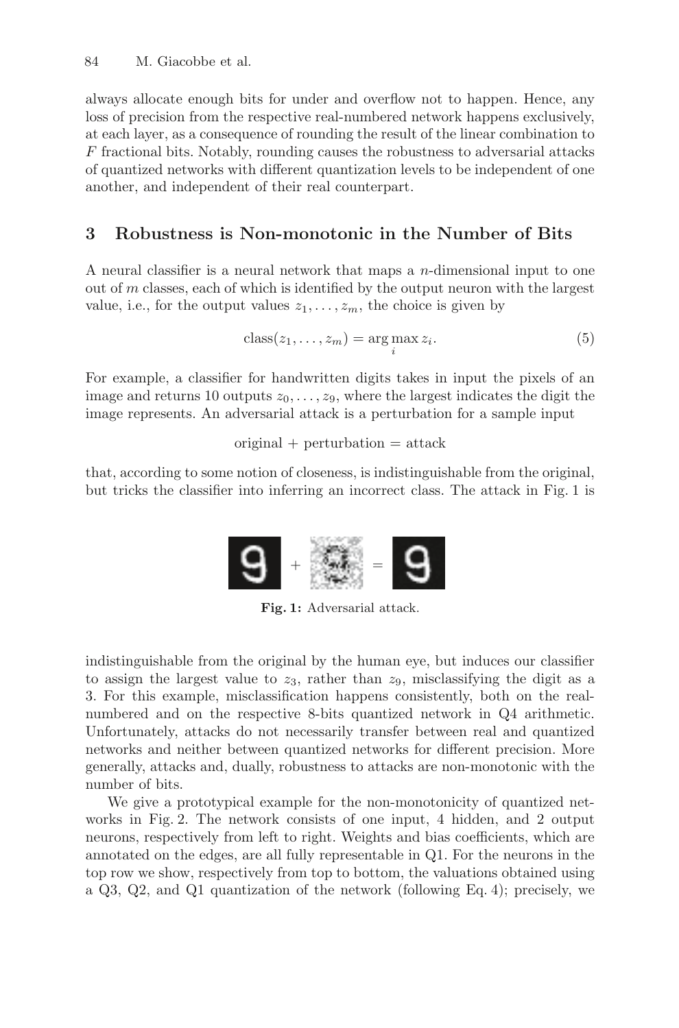always allocate enough bits for under and overflow not to happen. Hence, any loss of precision from the respective real-numbered network happens exclusively, at each layer, as a consequence of rounding the result of the linear combination to  $F$  fractional bits. Notably, rounding causes the robustness to adversarial attacks of quantized networks with different quantization levels to be independent of one another, and independent of their real counterpart.

# **3 Robustness is Non-monotonic in the Number of Bits**

A neural classifier is a neural network that maps a  $n$ -dimensional input to one out of  $m$  classes, each of which is identified by the output neuron with the largest value, i.e., for the output values  $z_1, \ldots, z_m$ , the choice is given by

$$
\text{class}(z_1, \dots, z_m) = \underset{i}{\text{arg max}} \ z_i. \tag{5}
$$

For example, a classifier for handwritten digits takes in input the pixels of an image and returns 10 outputs  $z_0, \ldots, z_9$ , where the largest indicates the digit the image represents. An adversarial attack is a perturbation for a sample input

 $original + perturbation = attack$ 

that, according to some notion of closeness, is indistinguishable from the original, but tricks the classifier into inferring an incorrect class. The attack in Fig. 1 is



**Fig. 1:** Adversarial attack.

indistinguishable from the original by the human eye, but induces our classifier to assign the largest value to  $z_3$ , rather than  $z_9$ , misclassifying the digit as a 3. For this example, misclassification happens consistently, both on the realnumbered and on the respective 8-bits quantized network in Q4 arithmetic. Unfortunately, attacks do not necessarily transfer between real and quantized networks and neither between quantized networks for different precision. More generally, attacks and, dually, robustness to attacks are non-monotonic with the number of bits.

We give a prototypical example for the non-monotonicity of quantized networks in Fig. 2. The network consists of one input, 4 hidden, and 2 output neurons, respectively from left to right. Weights and bias coefficients, which are annotated on the edges, are all fully representable in Q1. For the neurons in the top row we show, respectively from top to bottom, the valuations obtained using a Q3, Q2, and Q1 quantization of the network (following Eq. 4); precisely, we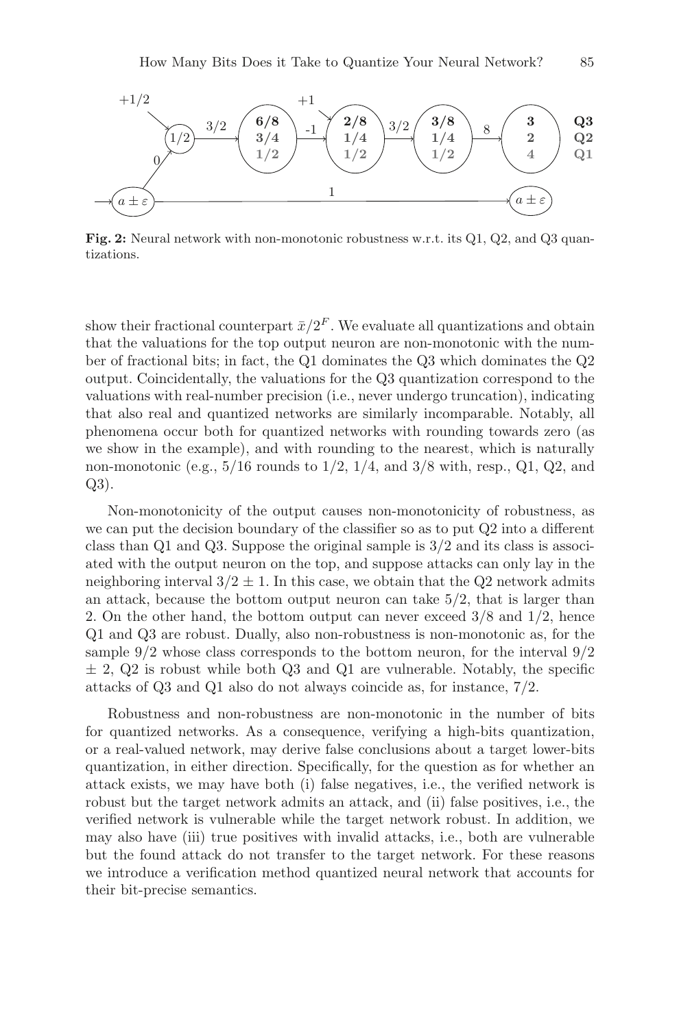

**Fig. 2:** Neural network with non-monotonic robustness w.r.t. its Q1, Q2, and Q3 quantizations.

show their fractional counterpart  $\bar{x}/2^F$ . We evaluate all quantizations and obtain that the valuations for the top output neuron are non-monotonic with the number of fractional bits; in fact, the Q1 dominates the Q3 which dominates the Q2 output. Coincidentally, the valuations for the Q3 quantization correspond to the valuations with real-number precision (i.e., never undergo truncation), indicating that also real and quantized networks are similarly incomparable. Notably, all phenomena occur both for quantized networks with rounding towards zero (as we show in the example), and with rounding to the nearest, which is naturally non-monotonic (e.g.,  $5/16$  rounds to  $1/2$ ,  $1/4$ , and  $3/8$  with, resp., Q1, Q2, and Q3).

Non-monotonicity of the output causes non-monotonicity of robustness, as we can put the decision boundary of the classifier so as to put Q2 into a different class than Q1 and Q3. Suppose the original sample is 3/2 and its class is associated with the output neuron on the top, and suppose attacks can only lay in the neighboring interval  $3/2 \pm 1$ . In this case, we obtain that the Q2 network admits an attack, because the bottom output neuron can take 5/2, that is larger than 2. On the other hand, the bottom output can never exceed 3/8 and 1/2, hence Q1 and Q3 are robust. Dually, also non-robustness is non-monotonic as, for the sample 9/2 whose class corresponds to the bottom neuron, for the interval 9/2  $\pm$  2, Q2 is robust while both Q3 and Q1 are vulnerable. Notably, the specific attacks of Q3 and Q1 also do not always coincide as, for instance, 7/2.

Robustness and non-robustness are non-monotonic in the number of bits for quantized networks. As a consequence, verifying a high-bits quantization, or a real-valued network, may derive false conclusions about a target lower-bits quantization, in either direction. Specifically, for the question as for whether an attack exists, we may have both (i) false negatives, i.e., the verified network is robust but the target network admits an attack, and (ii) false positives, i.e., the verified network is vulnerable while the target network robust. In addition, we may also have (iii) true positives with invalid attacks, i.e., both are vulnerable but the found attack do not transfer to the target network. For these reasons we introduce a verification method quantized neural network that accounts for their bit-precise semantics.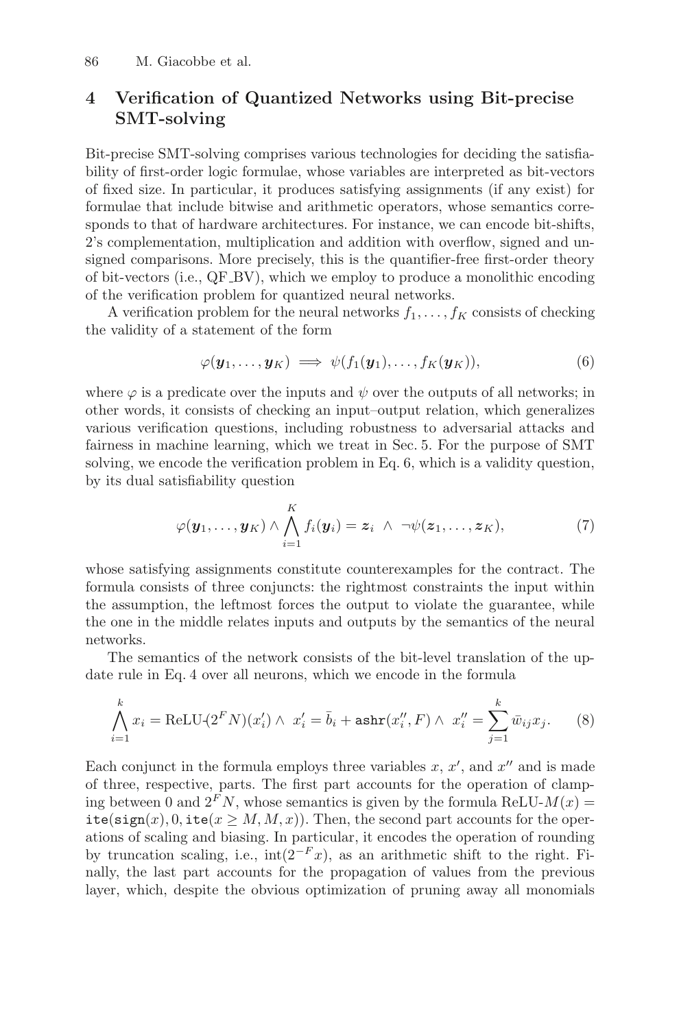# **4 Verification of Quantized Networks using Bit-precise SMT-solving**

Bit-precise SMT-solving comprises various technologies for deciding the satisfiability of first-order logic formulae, whose variables are interpreted as bit-vectors of fixed size. In particular, it produces satisfying assignments (if any exist) for formulae that include bitwise and arithmetic operators, whose semantics corresponds to that of hardware architectures. For instance, we can encode bit-shifts, 2's complementation, multiplication and addition with overflow, signed and unsigned comparisons. More precisely, this is the quantifier-free first-order theory of bit-vectors (i.e., QF BV), which we employ to produce a monolithic encoding of the verification problem for quantized neural networks.

A verification problem for the neural networks  $f_1, \ldots, f_K$  consists of checking the validity of a statement of the form

$$
\varphi(\mathbf{y}_1,\ldots,\mathbf{y}_K)\implies\psi(f_1(\mathbf{y}_1),\ldots,f_K(\mathbf{y}_K)),\tag{6}
$$

where  $\varphi$  is a predicate over the inputs and  $\psi$  over the outputs of all networks; in other words, it consists of checking an input–output relation, which generalizes various verification questions, including robustness to adversarial attacks and fairness in machine learning, which we treat in Sec. 5. For the purpose of SMT solving, we encode the verification problem in Eq. 6, which is a validity question, by its dual satisfiability question

$$
\varphi(\boldsymbol{y}_1,\ldots,\boldsymbol{y}_K)\wedge \bigwedge_{i=1}^K f_i(\boldsymbol{y}_i)=\boldsymbol{z}_i \ \wedge \ \neg \psi(\boldsymbol{z}_1,\ldots,\boldsymbol{z}_K),\tag{7}
$$

whose satisfying assignments constitute counterexamples for the contract. The formula consists of three conjuncts: the rightmost constraints the input within the assumption, the leftmost forces the output to violate the guarantee, while the one in the middle relates inputs and outputs by the semantics of the neural networks.

The semantics of the network consists of the bit-level translation of the update rule in Eq. 4 over all neurons, which we encode in the formula

$$
\bigwedge_{i=1}^{k} x_i = \text{ReLU}(2^F N)(x'_i) \land x'_i = \bar{b}_i + \text{ashr}(x''_i, F) \land x''_i = \sum_{j=1}^{k} \bar{w}_{ij} x_j.
$$
 (8)

Each conjunct in the formula employs three variables  $x, x'$ , and  $x''$  and is made<br>of three respective parts. The first part accounts for the operation of clampof three, respective, parts. The first part accounts for the operation of clamping between 0 and  $2^FN$ , whose semantics is given by the formula ReLU- $M(x)$  = ite(sign(x), 0, ite( $x > M, M, x$ )). Then, the second part accounts for the operations of scaling and biasing. In particular, it encodes the operation of rounding by truncation scaling, i.e.,  $int(2^{-F}x)$ , as an arithmetic shift to the right. Finally, the last part accounts for the propagation of values from the previous layer, which, despite the obvious optimization of pruning away all monomials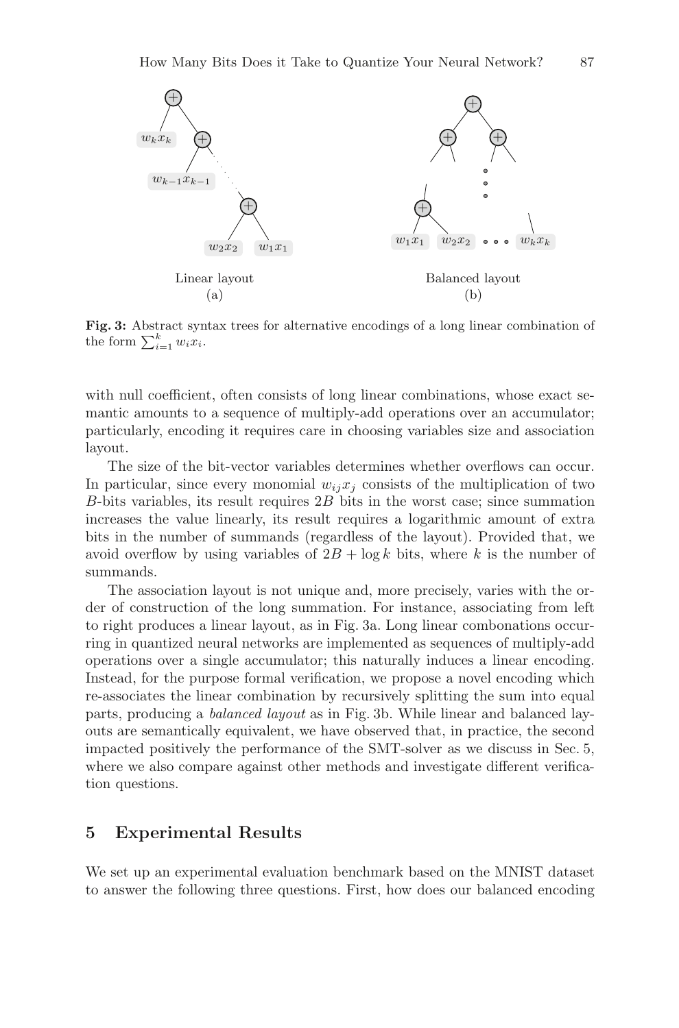

**Fig. 3:** Abstract syntax trees for alternative encodings of a long linear combination of the form  $\sum_{i=1}^{k} w_i x_i$ .

with null coefficient, often consists of long linear combinations, whose exact semantic amounts to a sequence of multiply-add operations over an accumulator; particularly, encoding it requires care in choosing variables size and association layout.

The size of the bit-vector variables determines whether overflows can occur. In particular, since every monomial  $w_{ij}x_j$  consists of the multiplication of two  $B$ -bits variables, its result requires  $2B$  bits in the worst case; since summation increases the value linearly, its result requires a logarithmic amount of extra bits in the number of summands (regardless of the layout). Provided that, we avoid overflow by using variables of  $2B + \log k$  bits, where k is the number of summands.

The association layout is not unique and, more precisely, varies with the order of construction of the long summation. For instance, associating from left to right produces a linear layout, as in Fig. 3a. Long linear combonations occurring in quantized neural networks are implemented as sequences of multiply-add operations over a single accumulator; this naturally induces a linear encoding. Instead, for the purpose formal verification, we propose a novel encoding which re-associates the linear combination by recursively splitting the sum into equal parts, producing a *balanced layout* as in Fig. 3b. While linear and balanced layouts are semantically equivalent, we have observed that, in practice, the second impacted positively the performance of the SMT-solver as we discuss in Sec. 5, where we also compare against other methods and investigate different verification questions.

## **5 Experimental Results**

We set up an experimental evaluation benchmark based on the MNIST dataset to answer the following three questions. First, how does our balanced encoding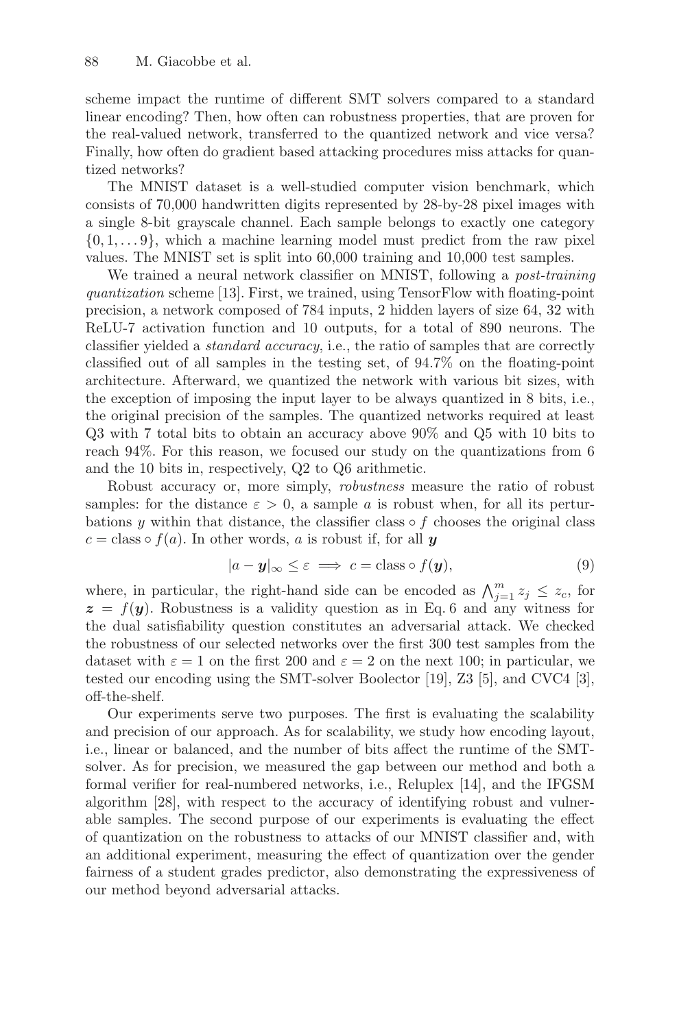scheme impact the runtime of different SMT solvers compared to a standard linear encoding? Then, how often can robustness properties, that are proven for the real-valued network, transferred to the quantized network and vice versa? Finally, how often do gradient based attacking procedures miss attacks for quantized networks?

The MNIST dataset is a well-studied computer vision benchmark, which consists of 70,000 handwritten digits represented by 28-by-28 pixel images with a single 8-bit grayscale channel. Each sample belongs to exactly one category  $\{0, 1, \ldots 9\}$ , which a machine learning model must predict from the raw pixel values. The MNIST set is split into 60,000 training and 10,000 test samples.

We trained a neural network classifier on MNIST, following a *post-training quantization* scheme [13]. First, we trained, using TensorFlow with floating-point precision, a network composed of 784 inputs, 2 hidden layers of size 64, 32 with ReLU-7 activation function and 10 outputs, for a total of 890 neurons. The classifier yielded a *standard accuracy*, i.e., the ratio of samples that are correctly classified out of all samples in the testing set, of 94.7% on the floating-point architecture. Afterward, we quantized the network with various bit sizes, with the exception of imposing the input layer to be always quantized in 8 bits, i.e., the original precision of the samples. The quantized networks required at least Q3 with 7 total bits to obtain an accuracy above 90% and Q5 with 10 bits to reach 94%. For this reason, we focused our study on the quantizations from 6 and the 10 bits in, respectively, Q2 to Q6 arithmetic.

Robust accuracy or, more simply, *robustness* measure the ratio of robust samples: for the distance  $\varepsilon > 0$ , a sample a is robust when, for all its perturbations y within that distance, the classifier class  $\circ$  f chooses the original class  $c = \text{class} \circ f(a)$ . In other words, a is robust if, for all **y** 

$$
|a - y|_{\infty} \le \varepsilon \implies c = \text{class} \circ f(y),\tag{9}
$$

where, in particular, the right-hand side can be encoded as  $\bigwedge_{j=1}^{m} z_j \leq z_c$ , for  $z = f(u)$ . Bobustness is a validity question as in Eq. 6 and any witness for  $z = f(y)$ . Robustness is a validity question as in Eq. 6 and any witness for the dual satisfiability question constitutes an adversarial attack. We checked the robustness of our selected networks over the first 300 test samples from the dataset with  $\varepsilon = 1$  on the first 200 and  $\varepsilon = 2$  on the next 100; in particular, we tested our encoding using the SMT-solver Boolector [19], Z3 [5], and CVC4 [3], off-the-shelf.

Our experiments serve two purposes. The first is evaluating the scalability and precision of our approach. As for scalability, we study how encoding layout, i.e., linear or balanced, and the number of bits affect the runtime of the SMTsolver. As for precision, we measured the gap between our method and both a formal verifier for real-numbered networks, i.e., Reluplex [14], and the IFGSM algorithm [28], with respect to the accuracy of identifying robust and vulnerable samples. The second purpose of our experiments is evaluating the effect of quantization on the robustness to attacks of our MNIST classifier and, with an additional experiment, measuring the effect of quantization over the gender fairness of a student grades predictor, also demonstrating the expressiveness of our method beyond adversarial attacks.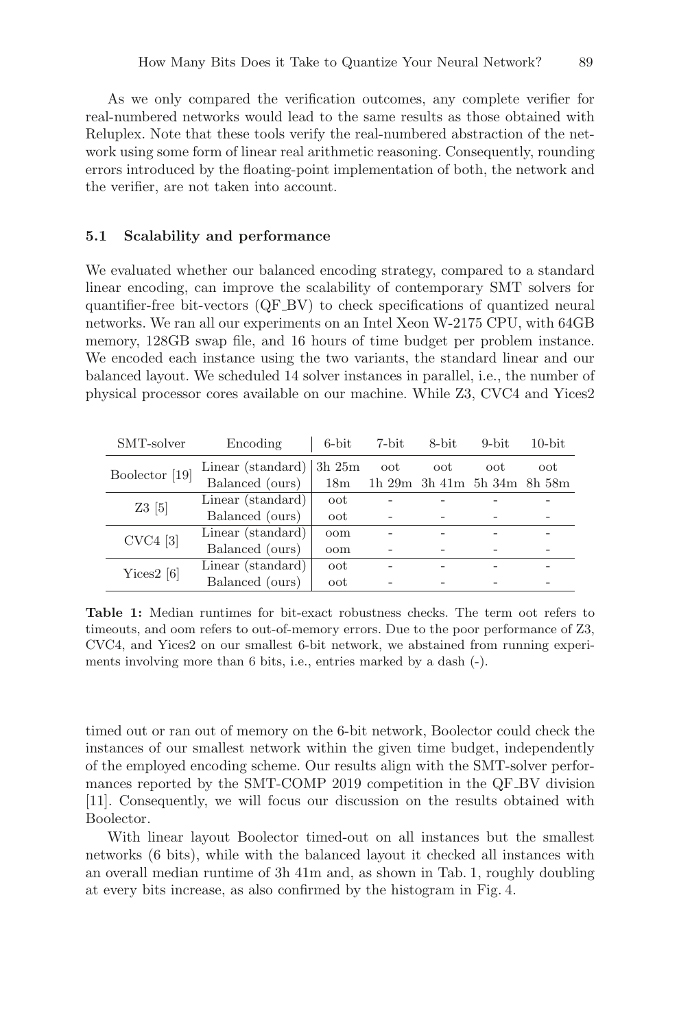As we only compared the verification outcomes, any complete verifier for real-numbered networks would lead to the same results as those obtained with Reluplex. Note that these tools verify the real-numbered abstraction of the network using some form of linear real arithmetic reasoning. Consequently, rounding errors introduced by the floating-point implementation of both, the network and the verifier, are not taken into account.

#### **5.1 Scalability and performance**

We evaluated whether our balanced encoding strategy, compared to a standard linear encoding, can improve the scalability of contemporary SMT solvers for quantifier-free bit-vectors (QF BV) to check specifications of quantized neural networks. We ran all our experiments on an Intel Xeon W-2175 CPU, with 64GB memory, 128GB swap file, and 16 hours of time budget per problem instance. We encoded each instance using the two variants, the standard linear and our balanced layout. We scheduled 14 solver instances in parallel, i.e., the number of physical processor cores available on our machine. While Z3, CVC4 and Yices2

| SMT-solver                                                          | Encoding               | $6$ -bit                    | 7-bit | 8-bit | $9-bit$                     | $10$ -bit |
|---------------------------------------------------------------------|------------------------|-----------------------------|-------|-------|-----------------------------|-----------|
| Boolector [19]                                                      |                        | Linear (standard) $ 3h 25m$ |       | oot   | oot                         | oot       |
|                                                                     | Balanced (ours)        | 18 <sub>m</sub>             | oot   |       | 1h 29m 3h 41m 5h 34m 8h 58m |           |
| $Z3$ [5]                                                            | Linear (standard)      | oot                         |       |       |                             |           |
|                                                                     | Balanced (ours)<br>oot |                             |       |       |                             |           |
| $CVC4$ [3]                                                          | Linear (standard)      | $_{\rm 00m}$                |       |       |                             |           |
|                                                                     | Balanced (ours)        | oom                         |       |       |                             |           |
| Linear (standard)<br>Yices $2 \lfloor 6 \rfloor$<br>Balanced (ours) | oot                    |                             |       |       |                             |           |
|                                                                     |                        | oot                         |       |       |                             |           |

**Table 1:** Median runtimes for bit-exact robustness checks. The term oot refers to timeouts, and oom refers to out-of-memory errors. Due to the poor performance of Z3, CVC4, and Yices2 on our smallest 6-bit network, we abstained from running experiments involving more than 6 bits, i.e., entries marked by a dash (-).

timed out or ran out of memory on the 6-bit network, Boolector could check the instances of our smallest network within the given time budget, independently of the employed encoding scheme. Our results align with the SMT-solver performances reported by the SMT-COMP 2019 competition in the QF BV division [11]. Consequently, we will focus our discussion on the results obtained with Boolector.

With linear layout Boolector timed-out on all instances but the smallest networks (6 bits), while with the balanced layout it checked all instances with an overall median runtime of 3h 41m and, as shown in Tab. 1, roughly doubling at every bits increase, as also confirmed by the histogram in Fig. 4.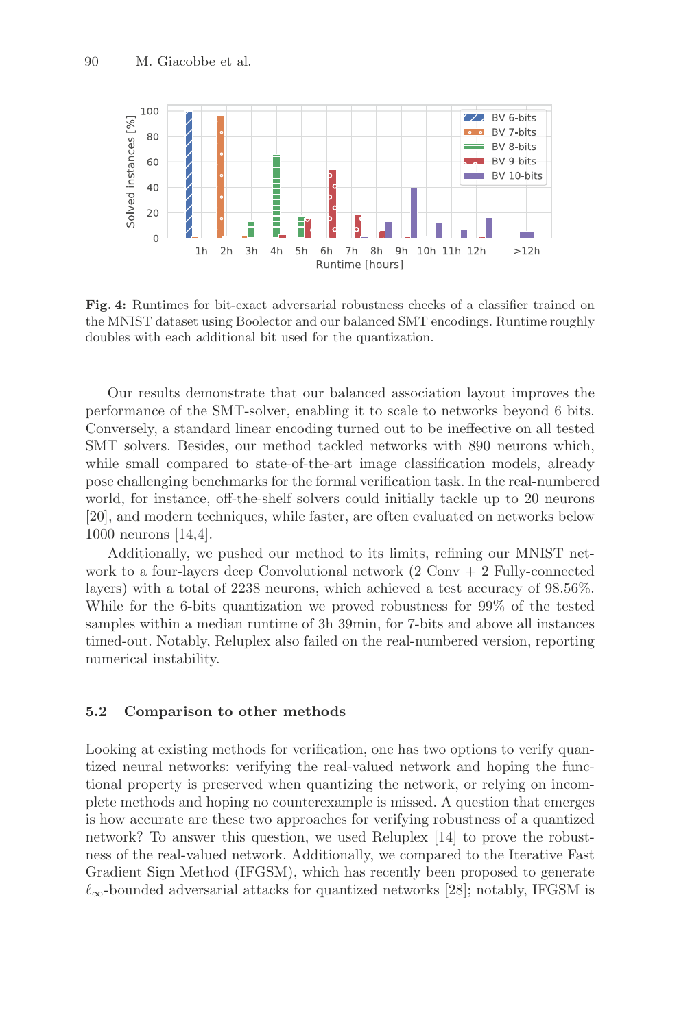

**Fig. 4:** Runtimes for bit-exact adversarial robustness checks of a classifier trained on the MNIST dataset using Boolector and our balanced SMT encodings. Runtime roughly doubles with each additional bit used for the quantization.

Our results demonstrate that our balanced association layout improves the performance of the SMT-solver, enabling it to scale to networks beyond 6 bits. Conversely, a standard linear encoding turned out to be ineffective on all tested SMT solvers. Besides, our method tackled networks with 890 neurons which, while small compared to state-of-the-art image classification models, already pose challenging benchmarks for the formal verification task. In the real-numbered world, for instance, off-the-shelf solvers could initially tackle up to 20 neurons [20], and modern techniques, while faster, are often evaluated on networks below 1000 neurons [14,4].

Additionally, we pushed our method to its limits, refining our MNIST network to a four-layers deep Convolutional network  $(2 \text{ Conv} + 2 \text{ Fully-connected})$ layers) with a total of 2238 neurons, which achieved a test accuracy of 98.56%. While for the 6-bits quantization we proved robustness for 99% of the tested samples within a median runtime of 3h 39min, for 7-bits and above all instances timed-out. Notably, Reluplex also failed on the real-numbered version, reporting numerical instability.

#### **5.2 Comparison to other methods**

Looking at existing methods for verification, one has two options to verify quantized neural networks: verifying the real-valued network and hoping the functional property is preserved when quantizing the network, or relying on incomplete methods and hoping no counterexample is missed. A question that emerges is how accurate are these two approaches for verifying robustness of a quantized network? To answer this question, we used Reluplex [14] to prove the robustness of the real-valued network. Additionally, we compared to the Iterative Fast Gradient Sign Method (IFGSM), which has recently been proposed to generate  $\ell_{\infty}$ -bounded adversarial attacks for quantized networks [28]; notably, IFGSM is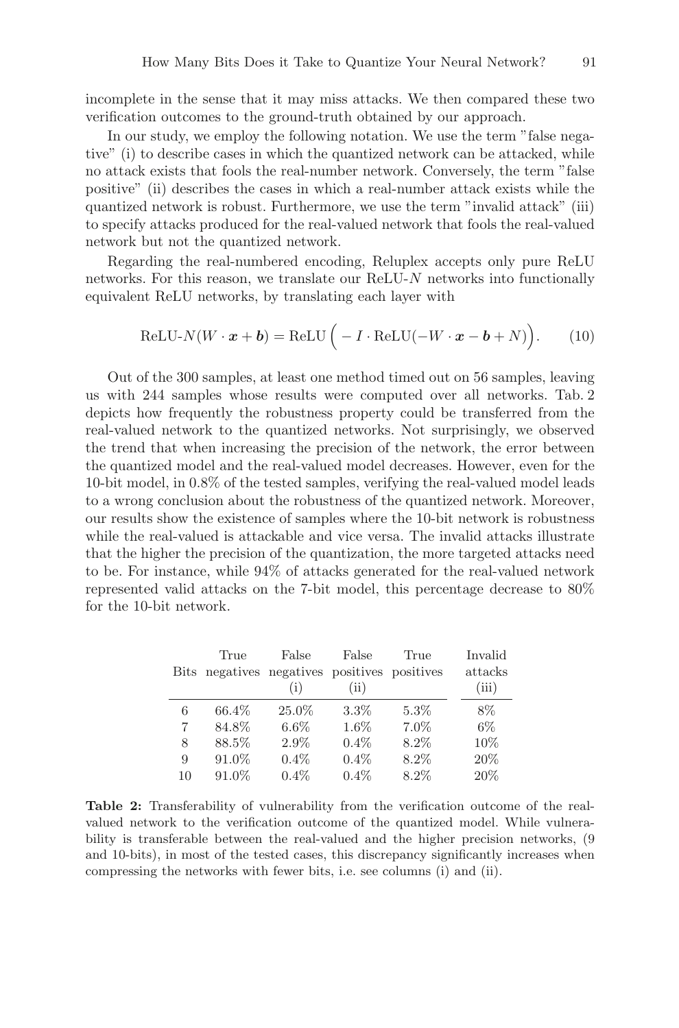incomplete in the sense that it may miss attacks. We then compared these two verification outcomes to the ground-truth obtained by our approach.

In our study, we employ the following notation. We use the term "false negative" (i) to describe cases in which the quantized network can be attacked, while no attack exists that fools the real-number network. Conversely, the term "false positive" (ii) describes the cases in which a real-number attack exists while the quantized network is robust. Furthermore, we use the term "invalid attack" (iii) to specify attacks produced for the real-valued network that fools the real-valued network but not the quantized network.

Regarding the real-numbered encoding, Reluplex accepts only pure ReLU networks. For this reason, we translate our  $ReLU-N$  networks into functionally equivalent ReLU networks, by translating each layer with

$$
ReLU-N(W \cdot x + b) = ReLU \left( -I \cdot ReLU(-W \cdot x - b + N) \right).
$$
 (10)

Out of the 300 samples, at least one method timed out on 56 samples, leaving us with 244 samples whose results were computed over all networks. Tab. 2 depicts how frequently the robustness property could be transferred from the real-valued network to the quantized networks. Not surprisingly, we observed the trend that when increasing the precision of the network, the error between the quantized model and the real-valued model decreases. However, even for the 10-bit model, in 0.8% of the tested samples, verifying the real-valued model leads to a wrong conclusion about the robustness of the quantized network. Moreover, our results show the existence of samples where the 10-bit network is robustness while the real-valued is attackable and vice versa. The invalid attacks illustrate that the higher the precision of the quantization, the more targeted attacks need to be. For instance, while 94% of attacks generated for the real-valued network represented valid attacks on the 7-bit model, this percentage decrease to 80% for the 10-bit network.

|    | True  | False                                        | False   | True    | Invalid |
|----|-------|----------------------------------------------|---------|---------|---------|
|    |       | Bits negatives negatives positives positives |         |         | attacks |
|    |       | (i)                                          | (ii)    |         | (iii)   |
| 6  | 66.4% | 25.0%                                        | $3.3\%$ | 5.3%    | 8%      |
| 7  | 84.8% | $6.6\%$                                      | $1.6\%$ | 7.0%    | 6%      |
| 8  | 88.5% | 2.9%                                         | $0.4\%$ | $8.2\%$ | $10\%$  |
| 9  | 91.0% | $0.4\%$                                      | $0.4\%$ | $8.2\%$ | 20%     |
| 10 | 91.0% | $0.4\%$                                      | $0.4\%$ | 8.2%    | 20%     |

**Table 2:** Transferability of vulnerability from the verification outcome of the realvalued network to the verification outcome of the quantized model. While vulnerability is transferable between the real-valued and the higher precision networks, (9 and 10-bits), in most of the tested cases, this discrepancy significantly increases when compressing the networks with fewer bits, i.e. see columns (i) and (ii).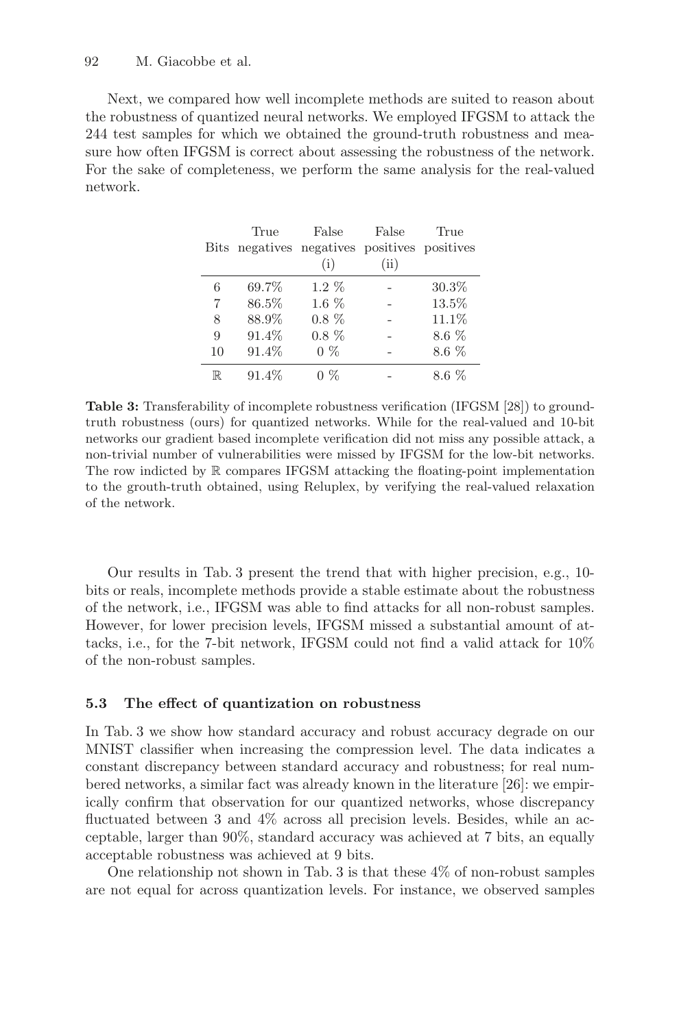Next, we compared how well incomplete methods are suited to reason about the robustness of quantized neural networks. We employed IFGSM to attack the 244 test samples for which we obtained the ground-truth robustness and measure how often IFGSM is correct about assessing the robustness of the network. For the sake of completeness, we perform the same analysis for the real-valued network.

|             | True                                         | False   | False | True    |
|-------------|----------------------------------------------|---------|-------|---------|
|             | Bits negatives negatives positives positives |         |       |         |
|             |                                              | (i)     | (ii)  |         |
| 6           | 69.7%                                        | $1.2\%$ |       | 30.3%   |
| 7           | 86.5%                                        | $1.6\%$ |       | 13.5%   |
| 8           | 88.9%                                        | $0.8\%$ |       | 11.1%   |
| 9           | 91.4%                                        | $0.8\%$ |       | $8.6\%$ |
| 10          | 91.4%                                        | $0\%$   |       | 8.6 %   |
| $\mathbb R$ | 91.4%                                        | $\%$    |       | $8.6\%$ |

**Table 3:** Transferability of incomplete robustness verification (IFGSM [28]) to groundtruth robustness (ours) for quantized networks. While for the real-valued and 10-bit networks our gradient based incomplete verification did not miss any possible attack, a non-trivial number of vulnerabilities were missed by IFGSM for the low-bit networks. The row indicted by  $\mathbb R$  compares IFGSM attacking the floating-point implementation to the grouth-truth obtained, using Reluplex, by verifying the real-valued relaxation of the network.

Our results in Tab. 3 present the trend that with higher precision, e.g., 10 bits or reals, incomplete methods provide a stable estimate about the robustness of the network, i.e., IFGSM was able to find attacks for all non-robust samples. However, for lower precision levels, IFGSM missed a substantial amount of attacks, i.e., for the 7-bit network, IFGSM could not find a valid attack for 10% of the non-robust samples.

#### **5.3 The effect of quantization on robustness**

In Tab. 3 we show how standard accuracy and robust accuracy degrade on our MNIST classifier when increasing the compression level. The data indicates a constant discrepancy between standard accuracy and robustness; for real numbered networks, a similar fact was already known in the literature [26]: we empirically confirm that observation for our quantized networks, whose discrepancy fluctuated between 3 and 4% across all precision levels. Besides, while an acceptable, larger than 90%, standard accuracy was achieved at 7 bits, an equally acceptable robustness was achieved at 9 bits.

One relationship not shown in Tab. 3 is that these 4% of non-robust samples are not equal for across quantization levels. For instance, we observed samples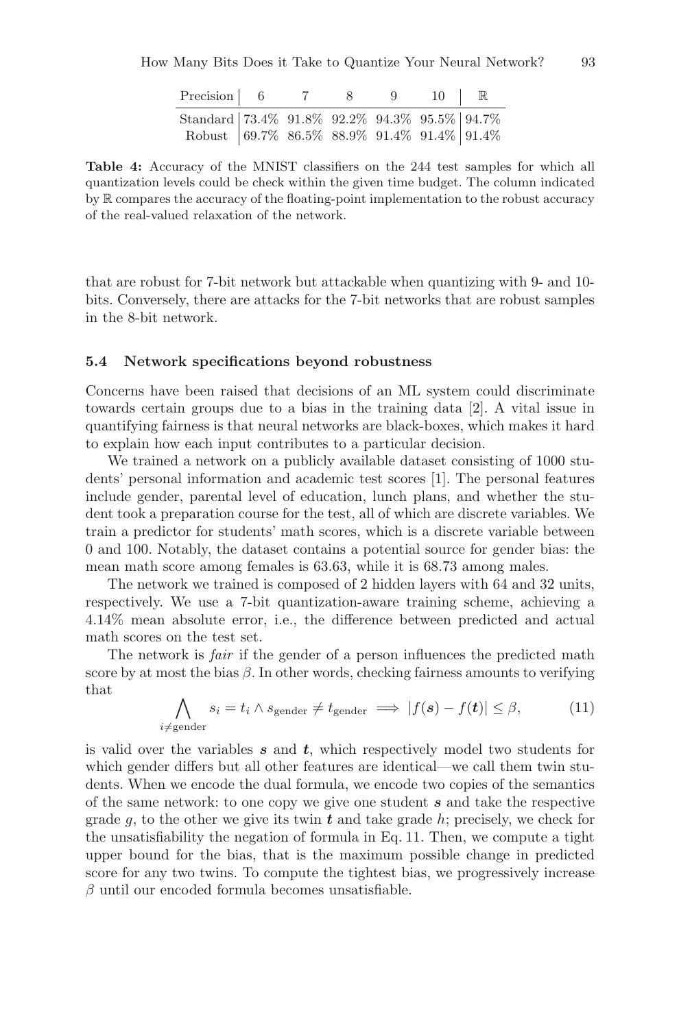| Precision $6$                                                                                                                                                               |  |  | 8 9 10 R |  |
|-----------------------------------------------------------------------------------------------------------------------------------------------------------------------------|--|--|----------|--|
|                                                                                                                                                                             |  |  |          |  |
| $\begin{tabular}{c cccccc} Standard & 73.4\% & 91.8\% & 92.2\% & 94.3\% & 95.5\% & 94.7\% \\ Robust & 69.7\% & 86.5\% & 88.9\% & 91.4\% & 91.4\% & 91.4\% \\ \end{tabular}$ |  |  |          |  |

**Table 4:** Accuracy of the MNIST classifiers on the 244 test samples for which all quantization levels could be check within the given time budget. The column indicated by R compares the accuracy of the floating-point implementation to the robust accuracy of the real-valued relaxation of the network.

that are robust for 7-bit network but attackable when quantizing with 9- and 10 bits. Conversely, there are attacks for the 7-bit networks that are robust samples in the 8-bit network.

#### **5.4 Network specifications beyond robustness**

Concerns have been raised that decisions of an ML system could discriminate towards certain groups due to a bias in the training data [2]. A vital issue in quantifying fairness is that neural networks are black-boxes, which makes it hard to explain how each input contributes to a particular decision.

We trained a network on a publicly available dataset consisting of 1000 students' personal information and academic test scores [1]. The personal features include gender, parental level of education, lunch plans, and whether the student took a preparation course for the test, all of which are discrete variables. We train a predictor for students' math scores, which is a discrete variable between 0 and 100. Notably, the dataset contains a potential source for gender bias: the mean math score among females is 63.63, while it is 68.73 among males.

The network we trained is composed of 2 hidden layers with 64 and 32 units, respectively. We use a 7-bit quantization-aware training scheme, achieving a 4.14% mean absolute error, i.e., the difference between predicted and actual math scores on the test set.

The network is *fair* if the gender of a person influences the predicted math score by at most the bias  $\beta$ . In other words, checking fairness amounts to verifying that

$$
\bigwedge_{i \neq \text{gender}} s_i = t_i \land s_{\text{gender}} \neq t_{\text{gender}} \implies |f(\mathbf{s}) - f(\mathbf{t})| \leq \beta,\tag{11}
$$

is valid over the variables *s* and *t*, which respectively model two students for which gender differs but all other features are identical—we call them twin students. When we encode the dual formula, we encode two copies of the semantics of the same network: to one copy we give one student *s* and take the respective grade  $q$ , to the other we give its twin  $t$  and take grade h; precisely, we check for the unsatisfiability the negation of formula in Eq. 11. Then, we compute a tight upper bound for the bias, that is the maximum possible change in predicted score for any two twins. To compute the tightest bias, we progressively increase  $\beta$  until our encoded formula becomes unsatisfiable.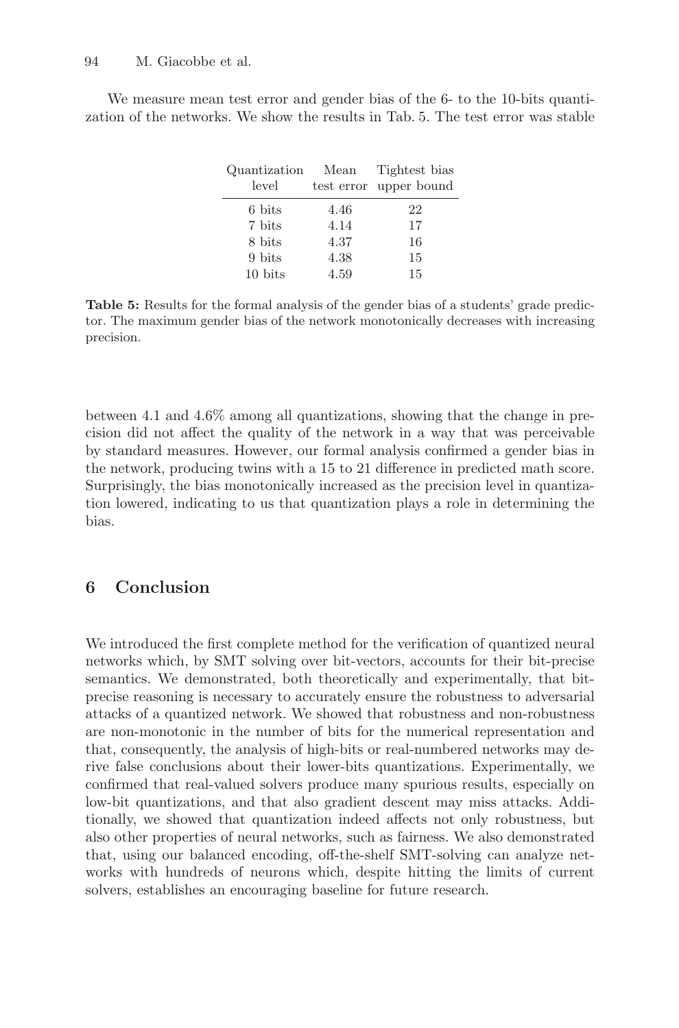We measure mean test error and gender bias of the 6- to the 10-bits quantization of the networks. We show the results in Tab. 5. The test error was stable

| Quantization |      | Mean Tightest bias     |  |  |
|--------------|------|------------------------|--|--|
| level        |      | test error upper bound |  |  |
| 6 bits       | 4.46 | 22                     |  |  |
| 7 bits       | 4.14 | 17                     |  |  |
| 8 bits       | 4.37 | 16                     |  |  |
| 9 bits       | 4.38 | 15                     |  |  |
| 10 bits      | 4.59 | 15                     |  |  |

**Table 5:** Results for the formal analysis of the gender bias of a students' grade predictor. The maximum gender bias of the network monotonically decreases with increasing precision.

between 4.1 and 4.6% among all quantizations, showing that the change in precision did not affect the quality of the network in a way that was perceivable by standard measures. However, our formal analysis confirmed a gender bias in the network, producing twins with a 15 to 21 difference in predicted math score. Surprisingly, the bias monotonically increased as the precision level in quantization lowered, indicating to us that quantization plays a role in determining the bias.

# **6 Conclusion**

We introduced the first complete method for the verification of quantized neural networks which, by SMT solving over bit-vectors, accounts for their bit-precise semantics. We demonstrated, both theoretically and experimentally, that bitprecise reasoning is necessary to accurately ensure the robustness to adversarial attacks of a quantized network. We showed that robustness and non-robustness are non-monotonic in the number of bits for the numerical representation and that, consequently, the analysis of high-bits or real-numbered networks may derive false conclusions about their lower-bits quantizations. Experimentally, we confirmed that real-valued solvers produce many spurious results, especially on low-bit quantizations, and that also gradient descent may miss attacks. Additionally, we showed that quantization indeed affects not only robustness, but also other properties of neural networks, such as fairness. We also demonstrated that, using our balanced encoding, off-the-shelf SMT-solving can analyze networks with hundreds of neurons which, despite hitting the limits of current solvers, establishes an encouraging baseline for future research.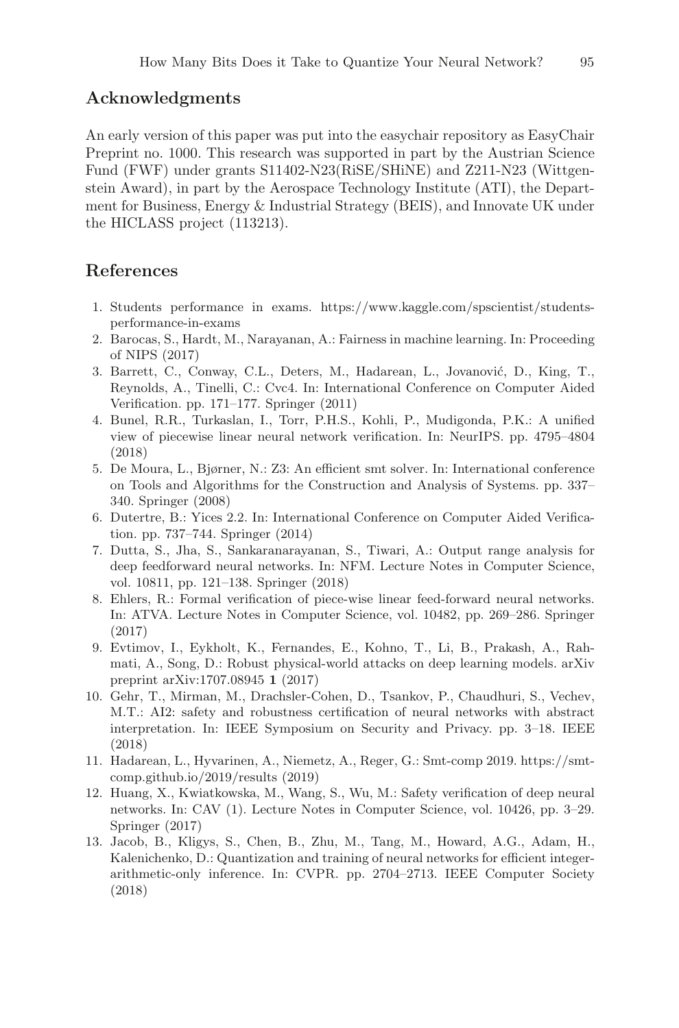### **Acknowledgments**

An early version of this paper was put into the easychair repository as EasyChair Preprint no. 1000. This research was supported in part by the Austrian Science Fund (FWF) under grants S11402-N23(RiSE/SHiNE) and Z211-N23 (Wittgenstein Award), in part by the Aerospace Technology Institute (ATI), the Department for Business, Energy & Industrial Strategy (BEIS), and Innovate UK under the HICLASS project (113213).

### **References**

- 1. Students performance in exams. https://www.kaggle.com/spscientist/studentsperformance-in-exams
- 2. Barocas, S., Hardt, M., Narayanan, A.: Fairness in machine learning. In: Proceeding of NIPS (2017)
- 3. Barrett, C., Conway, C.L., Deters, M., Hadarean, L., Jovanović, D., King, T., Reynolds, A., Tinelli, C.: Cvc4. In: International Conference on Computer Aided Verification. pp. 171–177. Springer (2011)
- 4. Bunel, R.R., Turkaslan, I., Torr, P.H.S., Kohli, P., Mudigonda, P.K.: A unified view of piecewise linear neural network verification. In: NeurIPS. pp. 4795–4804 (2018)
- 5. De Moura, L., Bjørner, N.: Z3: An efficient smt solver. In: International conference on Tools and Algorithms for the Construction and Analysis of Systems. pp. 337– 340. Springer (2008)
- 6. Dutertre, B.: Yices 2.2. In: International Conference on Computer Aided Verification. pp. 737–744. Springer (2014)
- 7. Dutta, S., Jha, S., Sankaranarayanan, S., Tiwari, A.: Output range analysis for deep feedforward neural networks. In: NFM. Lecture Notes in Computer Science, vol. 10811, pp. 121–138. Springer (2018)
- 8. Ehlers, R.: Formal verification of piece-wise linear feed-forward neural networks. In: ATVA. Lecture Notes in Computer Science, vol. 10482, pp. 269–286. Springer (2017)
- 9. Evtimov, I., Eykholt, K., Fernandes, E., Kohno, T., Li, B., Prakash, A., Rahmati, A., Song, D.: Robust physical-world attacks on deep learning models. arXiv preprint arXiv:1707.08945 **1** (2017)
- 10. Gehr, T., Mirman, M., Drachsler-Cohen, D., Tsankov, P., Chaudhuri, S., Vechev, M.T.: AI2: safety and robustness certification of neural networks with abstract interpretation. In: IEEE Symposium on Security and Privacy. pp. 3–18. IEEE (2018)
- 11. Hadarean, L., Hyvarinen, A., Niemetz, A., Reger, G.: Smt-comp 2019. https://smtcomp.github.io/2019/results (2019)
- 12. Huang, X., Kwiatkowska, M., Wang, S., Wu, M.: Safety verification of deep neural networks. In: CAV (1). Lecture Notes in Computer Science, vol. 10426, pp. 3–29. Springer (2017)
- 13. Jacob, B., Kligys, S., Chen, B., Zhu, M., Tang, M., Howard, A.G., Adam, H., Kalenichenko, D.: Quantization and training of neural networks for efficient integerarithmetic-only inference. In: CVPR. pp. 2704–2713. IEEE Computer Society (2018)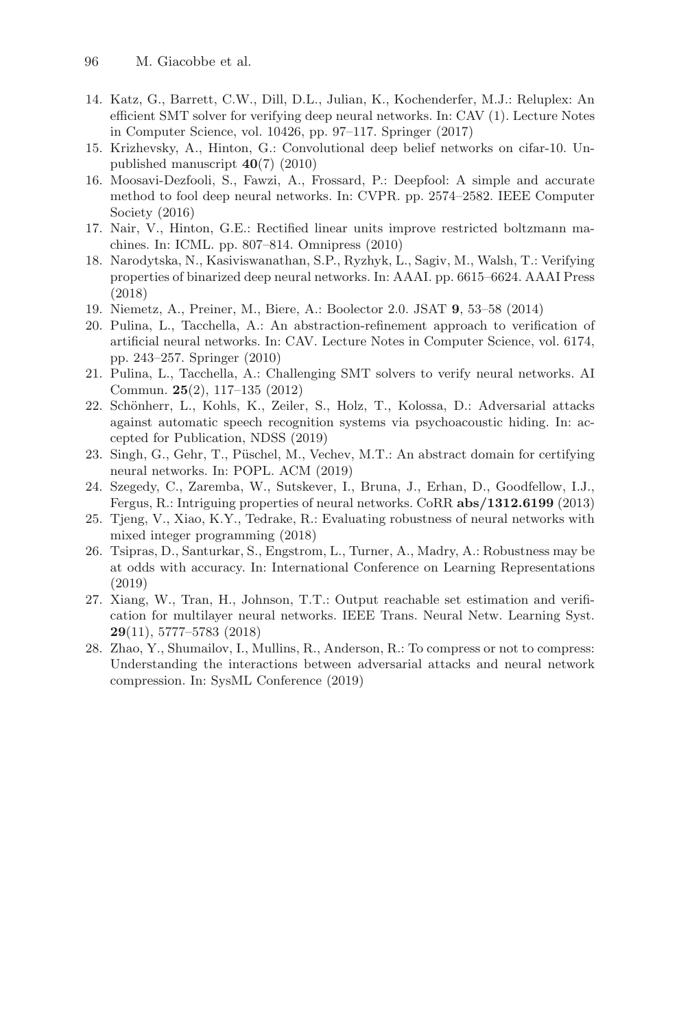- 14. Katz, G., Barrett, C.W., Dill, D.L., Julian, K., Kochenderfer, M.J.: Reluplex: An efficient SMT solver for verifying deep neural networks. In: CAV (1). Lecture Notes in Computer Science, vol. 10426, pp. 97–117. Springer (2017)
- 15. Krizhevsky, A., Hinton, G.: Convolutional deep belief networks on cifar-10. Unpublished manuscript **40**(7) (2010)
- 16. Moosavi-Dezfooli, S., Fawzi, A., Frossard, P.: Deepfool: A simple and accurate method to fool deep neural networks. In: CVPR. pp. 2574–2582. IEEE Computer Society (2016)
- 17. Nair, V., Hinton, G.E.: Rectified linear units improve restricted boltzmann machines. In: ICML. pp. 807–814. Omnipress (2010)
- 18. Narodytska, N., Kasiviswanathan, S.P., Ryzhyk, L., Sagiv, M., Walsh, T.: Verifying properties of binarized deep neural networks. In: AAAI. pp. 6615–6624. AAAI Press (2018)
- 19. Niemetz, A., Preiner, M., Biere, A.: Boolector 2.0. JSAT **9**, 53–58 (2014)
- 20. Pulina, L., Tacchella, A.: An abstraction-refinement approach to verification of artificial neural networks. In: CAV. Lecture Notes in Computer Science, vol. 6174, pp. 243–257. Springer (2010)
- 21. Pulina, L., Tacchella, A.: Challenging SMT solvers to verify neural networks. AI Commun. **25**(2), 117–135 (2012)
- 22. Schönherr, L., Kohls, K., Zeiler, S., Holz, T., Kolossa, D.: Adversarial attacks against automatic speech recognition systems via psychoacoustic hiding. In: accepted for Publication, NDSS (2019)
- 23. Singh, G., Gehr, T., Püschel, M., Vechev, M.T.: An abstract domain for certifying neural networks. In: POPL. ACM (2019)
- 24. Szegedy, C., Zaremba, W., Sutskever, I., Bruna, J., Erhan, D., Goodfellow, I.J., Fergus, R.: Intriguing properties of neural networks. CoRR **abs/1312.6199** (2013)
- 25. Tjeng, V., Xiao, K.Y., Tedrake, R.: Evaluating robustness of neural networks with mixed integer programming (2018)
- 26. Tsipras, D., Santurkar, S., Engstrom, L., Turner, A., Madry, A.: Robustness may be at odds with accuracy. In: International Conference on Learning Representations (2019)
- 27. Xiang, W., Tran, H., Johnson, T.T.: Output reachable set estimation and verification for multilayer neural networks. IEEE Trans. Neural Netw. Learning Syst. **29**(11), 5777–5783 (2018)
- 28. Zhao, Y., Shumailov, I., Mullins, R., Anderson, R.: To compress or not to compress: Understanding the interactions between adversarial attacks and neural network compression. In: SysML Conference (2019)